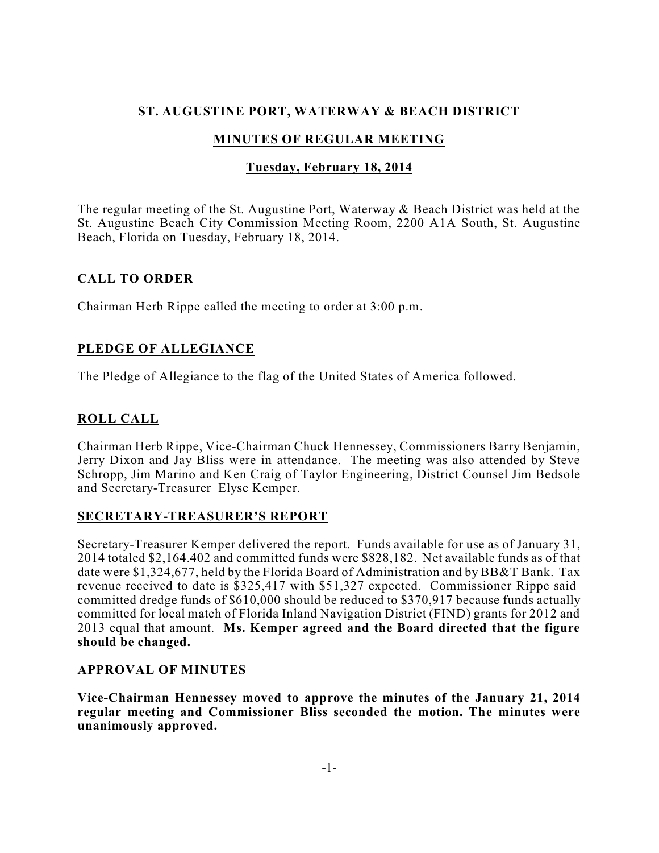# **ST. AUGUSTINE PORT, WATERWAY & BEACH DISTRICT**

# **MINUTES OF REGULAR MEETING**

## **Tuesday, February 18, 2014**

The regular meeting of the St. Augustine Port, Waterway & Beach District was held at the St. Augustine Beach City Commission Meeting Room, 2200 A1A South, St. Augustine Beach, Florida on Tuesday, February 18, 2014.

# **CALL TO ORDER**

Chairman Herb Rippe called the meeting to order at 3:00 p.m.

# **PLEDGE OF ALLEGIANCE**

The Pledge of Allegiance to the flag of the United States of America followed.

# **ROLL CALL**

Chairman Herb Rippe, Vice-Chairman Chuck Hennessey, Commissioners Barry Benjamin, Jerry Dixon and Jay Bliss were in attendance. The meeting was also attended by Steve Schropp, Jim Marino and Ken Craig of Taylor Engineering, District Counsel Jim Bedsole and Secretary-Treasurer Elyse Kemper.

## **SECRETARY-TREASURER'S REPORT**

Secretary-Treasurer Kemper delivered the report. Funds available for use as of January 31, 2014 totaled \$2,164.402 and committed funds were \$828,182. Net available funds as of that date were \$1,324,677, held by the Florida Board of Administration and by BB&T Bank. Tax revenue received to date is \$325,417 with \$51,327 expected. Commissioner Rippe said committed dredge funds of \$610,000 should be reduced to \$370,917 because funds actually committed for local match of Florida Inland Navigation District (FIND) grants for 2012 and 2013 equal that amount. **Ms. Kemper agreed and the Board directed that the figure should be changed.**

## **APPROVAL OF MINUTES**

**Vice-Chairman Hennessey moved to approve the minutes of the January 21, 2014 regular meeting and Commissioner Bliss seconded the motion. The minutes were unanimously approved.**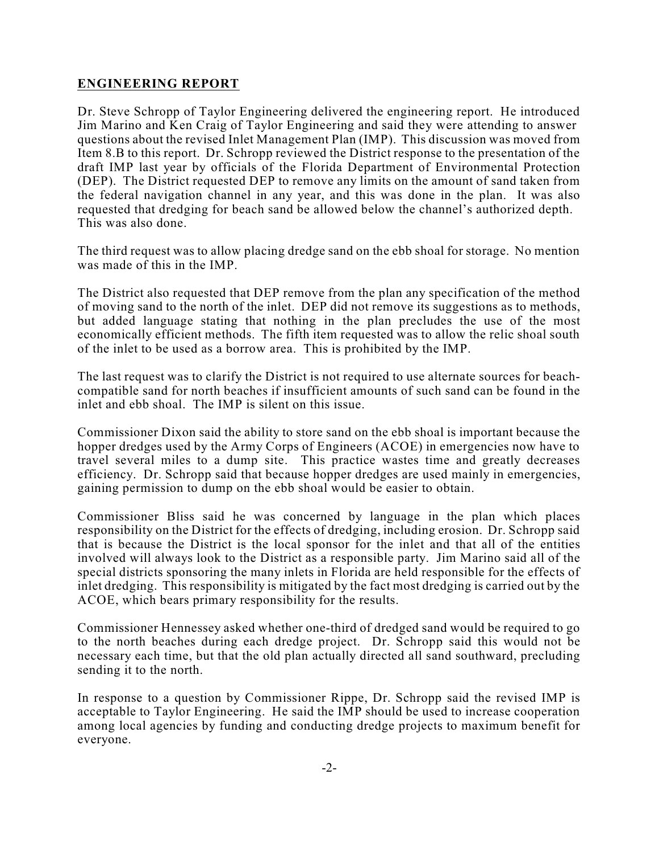## **ENGINEERING REPORT**

Dr. Steve Schropp of Taylor Engineering delivered the engineering report. He introduced Jim Marino and Ken Craig of Taylor Engineering and said they were attending to answer questions about the revised Inlet Management Plan (IMP). This discussion was moved from Item 8.B to this report. Dr. Schropp reviewed the District response to the presentation of the draft IMP last year by officials of the Florida Department of Environmental Protection (DEP). The District requested DEP to remove any limits on the amount of sand taken from the federal navigation channel in any year, and this was done in the plan. It was also requested that dredging for beach sand be allowed below the channel's authorized depth. This was also done.

The third request was to allow placing dredge sand on the ebb shoal for storage. No mention was made of this in the IMP.

The District also requested that DEP remove from the plan any specification of the method of moving sand to the north of the inlet. DEP did not remove its suggestions as to methods, but added language stating that nothing in the plan precludes the use of the most economically efficient methods. The fifth item requested was to allow the relic shoal south of the inlet to be used as a borrow area. This is prohibited by the IMP.

The last request was to clarify the District is not required to use alternate sources for beachcompatible sand for north beaches if insufficient amounts of such sand can be found in the inlet and ebb shoal. The IMP is silent on this issue.

Commissioner Dixon said the ability to store sand on the ebb shoal is important because the hopper dredges used by the Army Corps of Engineers (ACOE) in emergencies now have to travel several miles to a dump site. This practice wastes time and greatly decreases efficiency. Dr. Schropp said that because hopper dredges are used mainly in emergencies, gaining permission to dump on the ebb shoal would be easier to obtain.

Commissioner Bliss said he was concerned by language in the plan which places responsibility on the District for the effects of dredging, including erosion. Dr. Schropp said that is because the District is the local sponsor for the inlet and that all of the entities involved will always look to the District as a responsible party. Jim Marino said all of the special districts sponsoring the many inlets in Florida are held responsible for the effects of inlet dredging. This responsibility is mitigated by the fact most dredging is carried out by the ACOE, which bears primary responsibility for the results.

Commissioner Hennessey asked whether one-third of dredged sand would be required to go to the north beaches during each dredge project. Dr. Schropp said this would not be necessary each time, but that the old plan actually directed all sand southward, precluding sending it to the north.

In response to a question by Commissioner Rippe, Dr. Schropp said the revised IMP is acceptable to Taylor Engineering. He said the IMP should be used to increase cooperation among local agencies by funding and conducting dredge projects to maximum benefit for everyone.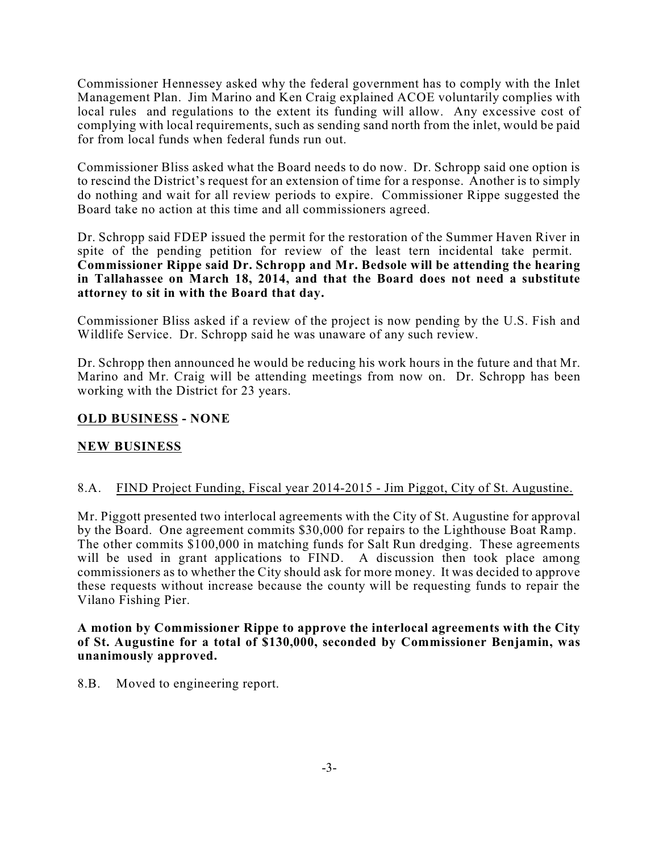Commissioner Hennessey asked why the federal government has to comply with the Inlet Management Plan. Jim Marino and Ken Craig explained ACOE voluntarily complies with local rules and regulations to the extent its funding will allow. Any excessive cost of complying with local requirements, such as sending sand north from the inlet, would be paid for from local funds when federal funds run out.

Commissioner Bliss asked what the Board needs to do now. Dr. Schropp said one option is to rescind the District's request for an extension of time for a response. Another is to simply do nothing and wait for all review periods to expire. Commissioner Rippe suggested the Board take no action at this time and all commissioners agreed.

Dr. Schropp said FDEP issued the permit for the restoration of the Summer Haven River in spite of the pending petition for review of the least tern incidental take permit. **Commissioner Rippe said Dr. Schropp and Mr. Bedsole will be attending the hearing in Tallahassee on March 18, 2014, and that the Board does not need a substitute attorney to sit in with the Board that day.**

Commissioner Bliss asked if a review of the project is now pending by the U.S. Fish and Wildlife Service. Dr. Schropp said he was unaware of any such review.

Dr. Schropp then announced he would be reducing his work hours in the future and that Mr. Marino and Mr. Craig will be attending meetings from now on. Dr. Schropp has been working with the District for 23 years.

### **OLD BUSINESS - NONE**

#### **NEW BUSINESS**

#### 8.A. FIND Project Funding, Fiscal year 2014-2015 - Jim Piggot, City of St. Augustine.

Mr. Piggott presented two interlocal agreements with the City of St. Augustine for approval by the Board. One agreement commits \$30,000 for repairs to the Lighthouse Boat Ramp. The other commits \$100,000 in matching funds for Salt Run dredging. These agreements will be used in grant applications to FIND. A discussion then took place among commissioners as to whether the City should ask for more money. It was decided to approve these requests without increase because the county will be requesting funds to repair the Vilano Fishing Pier.

#### **A motion by Commissioner Rippe to approve the interlocal agreements with the City of St. Augustine for a total of \$130,000, seconded by Commissioner Benjamin, was unanimously approved.**

8.B. Moved to engineering report.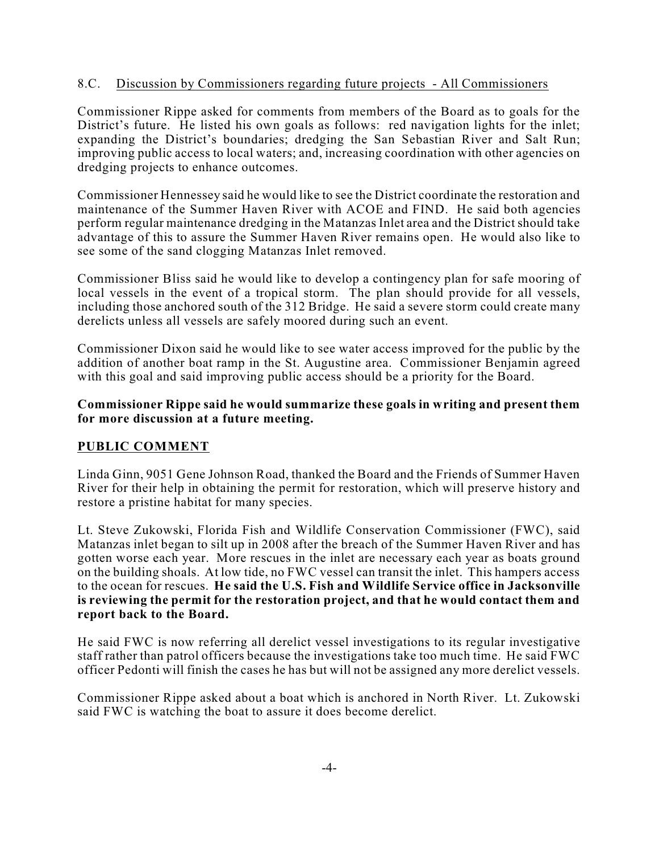### 8.C. Discussion by Commissioners regarding future projects - All Commissioners

Commissioner Rippe asked for comments from members of the Board as to goals for the District's future. He listed his own goals as follows: red navigation lights for the inlet; expanding the District's boundaries; dredging the San Sebastian River and Salt Run; improving public access to local waters; and, increasing coordination with other agencies on dredging projects to enhance outcomes.

Commissioner Hennessey said he would like to see the District coordinate the restoration and maintenance of the Summer Haven River with ACOE and FIND. He said both agencies perform regular maintenance dredging in the Matanzas Inlet area and the District should take advantage of this to assure the Summer Haven River remains open. He would also like to see some of the sand clogging Matanzas Inlet removed.

Commissioner Bliss said he would like to develop a contingency plan for safe mooring of local vessels in the event of a tropical storm. The plan should provide for all vessels, including those anchored south of the 312 Bridge. He said a severe storm could create many derelicts unless all vessels are safely moored during such an event.

Commissioner Dixon said he would like to see water access improved for the public by the addition of another boat ramp in the St. Augustine area. Commissioner Benjamin agreed with this goal and said improving public access should be a priority for the Board.

#### **Commissioner Rippe said he would summarize these goals in writing and present them for more discussion at a future meeting.**

#### **PUBLIC COMMENT**

Linda Ginn, 9051 Gene Johnson Road, thanked the Board and the Friends of Summer Haven River for their help in obtaining the permit for restoration, which will preserve history and restore a pristine habitat for many species.

Lt. Steve Zukowski, Florida Fish and Wildlife Conservation Commissioner (FWC), said Matanzas inlet began to silt up in 2008 after the breach of the Summer Haven River and has gotten worse each year. More rescues in the inlet are necessary each year as boats ground on the building shoals. At low tide, no FWC vessel can transit the inlet. This hampers access to the ocean for rescues. **He said the U.S. Fish and Wildlife Service office in Jacksonville is reviewing the permit for the restoration project, and that he would contact them and report back to the Board.**

He said FWC is now referring all derelict vessel investigations to its regular investigative staff rather than patrol officers because the investigations take too much time. He said FWC officer Pedonti will finish the cases he has but will not be assigned any more derelict vessels.

Commissioner Rippe asked about a boat which is anchored in North River. Lt. Zukowski said FWC is watching the boat to assure it does become derelict.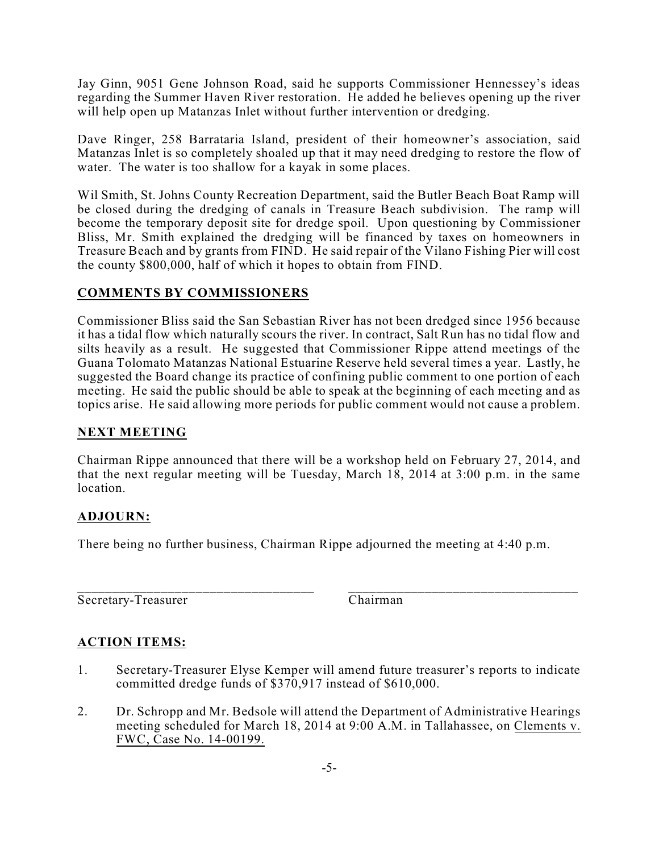Jay Ginn, 9051 Gene Johnson Road, said he supports Commissioner Hennessey's ideas regarding the Summer Haven River restoration. He added he believes opening up the river will help open up Matanzas Inlet without further intervention or dredging.

Dave Ringer, 258 Barrataria Island, president of their homeowner's association, said Matanzas Inlet is so completely shoaled up that it may need dredging to restore the flow of water. The water is too shallow for a kayak in some places.

Wil Smith, St. Johns County Recreation Department, said the Butler Beach Boat Ramp will be closed during the dredging of canals in Treasure Beach subdivision. The ramp will become the temporary deposit site for dredge spoil. Upon questioning by Commissioner Bliss, Mr. Smith explained the dredging will be financed by taxes on homeowners in Treasure Beach and by grants from FIND. He said repair of the Vilano Fishing Pier will cost the county \$800,000, half of which it hopes to obtain from FIND.

## **COMMENTS BY COMMISSIONERS**

Commissioner Bliss said the San Sebastian River has not been dredged since 1956 because it has a tidal flow which naturally scours the river. In contract, Salt Run has no tidal flow and silts heavily as a result. He suggested that Commissioner Rippe attend meetings of the Guana Tolomato Matanzas National Estuarine Reserve held several times a year. Lastly, he suggested the Board change its practice of confining public comment to one portion of each meeting. He said the public should be able to speak at the beginning of each meeting and as topics arise. He said allowing more periods for public comment would not cause a problem.

## **NEXT MEETING**

Chairman Rippe announced that there will be a workshop held on February 27, 2014, and that the next regular meeting will be Tuesday, March 18, 2014 at 3:00 p.m. in the same location.

## **ADJOURN:**

There being no further business, Chairman Rippe adjourned the meeting at 4:40 p.m.

\_\_\_\_\_\_\_\_\_\_\_\_\_\_\_\_\_\_\_\_\_\_\_\_\_\_\_\_\_\_\_\_\_\_ \_\_\_\_\_\_\_\_\_\_\_\_\_\_\_\_\_\_\_\_\_\_\_\_\_\_\_\_\_\_\_\_\_ Secretary-Treasurer Chairman

## **ACTION ITEMS:**

- 1. Secretary-Treasurer Elyse Kemper will amend future treasurer's reports to indicate committed dredge funds of \$370,917 instead of \$610,000.
- 2. Dr. Schropp and Mr. Bedsole will attend the Department of Administrative Hearings meeting scheduled for March 18, 2014 at 9:00 A.M. in Tallahassee, on Clements v. FWC, Case No. 14-00199.